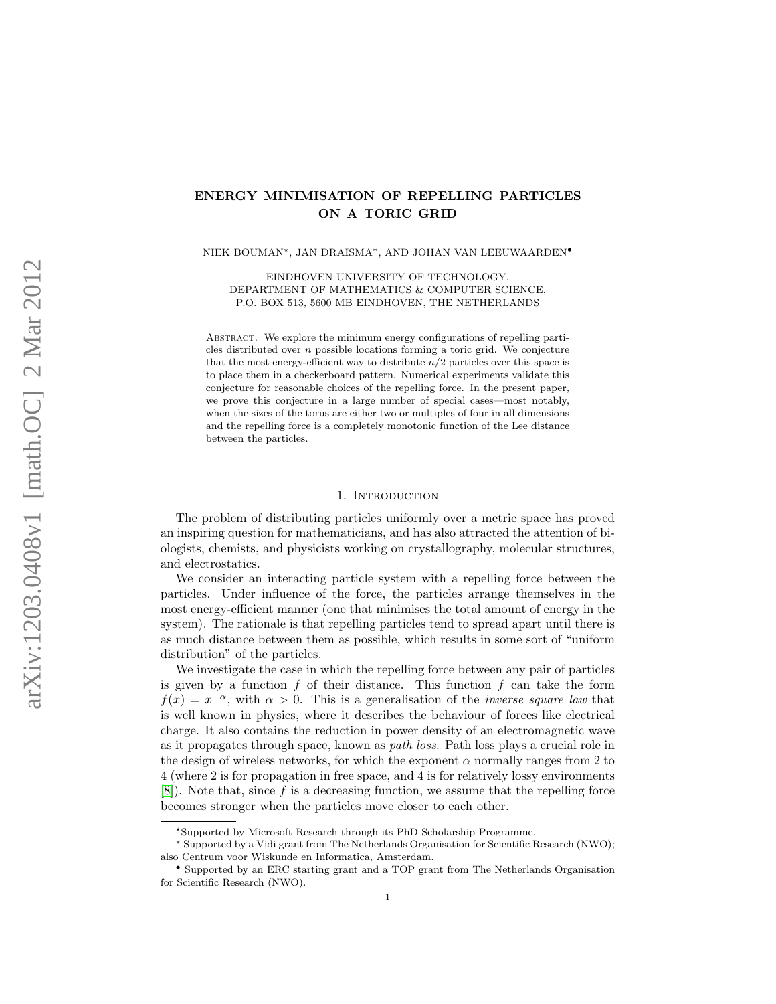# ENERGY MINIMISATION OF REPELLING PARTICLES ON A TORIC GRID

NIEK BOUMAN?, JAN DRAISMA∗, AND JOHAN VAN LEEUWAARDEN•

EINDHOVEN UNIVERSITY OF TECHNOLOGY, DEPARTMENT OF MATHEMATICS & COMPUTER SCIENCE, P.O. BOX 513, 5600 MB EINDHOVEN, THE NETHERLANDS

Abstract. We explore the minimum energy configurations of repelling particles distributed over  $n$  possible locations forming a toric grid. We conjecture that the most energy-efficient way to distribute  $n/2$  particles over this space is to place them in a checkerboard pattern. Numerical experiments validate this conjecture for reasonable choices of the repelling force. In the present paper, we prove this conjecture in a large number of special cases—most notably, when the sizes of the torus are either two or multiples of four in all dimensions and the repelling force is a completely monotonic function of the Lee distance between the particles.

### 1. INTRODUCTION

The problem of distributing particles uniformly over a metric space has proved an inspiring question for mathematicians, and has also attracted the attention of biologists, chemists, and physicists working on crystallography, molecular structures, and electrostatics.

We consider an interacting particle system with a repelling force between the particles. Under influence of the force, the particles arrange themselves in the most energy-efficient manner (one that minimises the total amount of energy in the system). The rationale is that repelling particles tend to spread apart until there is as much distance between them as possible, which results in some sort of "uniform distribution" of the particles.

We investigate the case in which the repelling force between any pair of particles is given by a function  $f$  of their distance. This function  $f$  can take the form  $f(x) = x^{-\alpha}$ , with  $\alpha > 0$ . This is a generalisation of the *inverse square law* that is well known in physics, where it describes the behaviour of forces like electrical charge. It also contains the reduction in power density of an electromagnetic wave as it propagates through space, known as path loss. Path loss plays a crucial role in the design of wireless networks, for which the exponent  $\alpha$  normally ranges from 2 to 4 (where 2 is for propagation in free space, and 4 is for relatively lossy environments [\[8\]](#page-17-0)). Note that, since f is a decreasing function, we assume that the repelling force becomes stronger when the particles move closer to each other.

<sup>?</sup>Supported by Microsoft Research through its PhD Scholarship Programme.

<sup>∗</sup> Supported by a Vidi grant from The Netherlands Organisation for Scientific Research (NWO); also Centrum voor Wiskunde en Informatica, Amsterdam.

<sup>•</sup> Supported by an ERC starting grant and a TOP grant from The Netherlands Organisation for Scientific Research (NWO).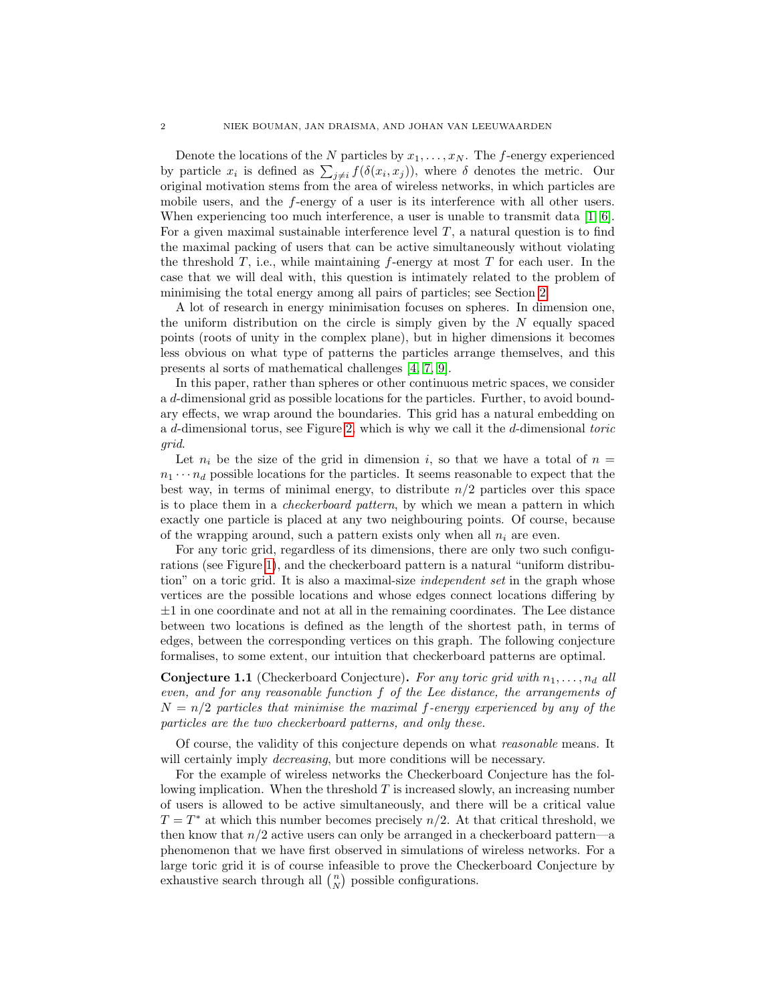Denote the locations of the N particles by  $x_1, \ldots, x_N$ . The f-energy experienced by particle  $x_i$  is defined as  $\sum_{j\neq i} f(\delta(x_i, x_j))$ , where  $\delta$  denotes the metric. Our original motivation stems from the area of wireless networks, in which particles are mobile users, and the f-energy of a user is its interference with all other users. When experiencing too much interference, a user is unable to transmit data [\[1,](#page-17-1) [6\]](#page-17-2). For a given maximal sustainable interference level  $T$ , a natural question is to find the maximal packing of users that can be active simultaneously without violating the threshold  $T$ , i.e., while maintaining  $f$ -energy at most  $T$  for each user. In the case that we will deal with, this question is intimately related to the problem of minimising the total energy among all pairs of particles; see Section [2.](#page-2-0)

A lot of research in energy minimisation focuses on spheres. In dimension one, the uniform distribution on the circle is simply given by the  $N$  equally spaced points (roots of unity in the complex plane), but in higher dimensions it becomes less obvious on what type of patterns the particles arrange themselves, and this presents al sorts of mathematical challenges [\[4,](#page-17-3) [7,](#page-17-4) [9\]](#page-17-5).

In this paper, rather than spheres or other continuous metric spaces, we consider a d-dimensional grid as possible locations for the particles. Further, to avoid boundary effects, we wrap around the boundaries. This grid has a natural embedding on a d-dimensional torus, see Figure [2,](#page-2-1) which is why we call it the d-dimensional toric grid.

Let  $n_i$  be the size of the grid in dimension i, so that we have a total of  $n =$  $n_1 \cdots n_d$  possible locations for the particles. It seems reasonable to expect that the best way, in terms of minimal energy, to distribute  $n/2$  particles over this space is to place them in a checkerboard pattern, by which we mean a pattern in which exactly one particle is placed at any two neighbouring points. Of course, because of the wrapping around, such a pattern exists only when all  $n_i$  are even.

For any toric grid, regardless of its dimensions, there are only two such configurations (see Figure [1\)](#page-2-2), and the checkerboard pattern is a natural "uniform distribution" on a toric grid. It is also a maximal-size independent set in the graph whose vertices are the possible locations and whose edges connect locations differing by  $\pm 1$  in one coordinate and not at all in the remaining coordinates. The Lee distance between two locations is defined as the length of the shortest path, in terms of edges, between the corresponding vertices on this graph. The following conjecture formalises, to some extent, our intuition that checkerboard patterns are optimal.

**Conjecture 1.1** (Checkerboard Conjecture). For any toric grid with  $n_1, \ldots, n_d$  all even, and for any reasonable function f of the Lee distance, the arrangements of  $N = n/2$  particles that minimise the maximal f-energy experienced by any of the particles are the two checkerboard patterns, and only these.

Of course, the validity of this conjecture depends on what reasonable means. It will certainly imply *decreasing*, but more conditions will be necessary.

For the example of wireless networks the Checkerboard Conjecture has the following implication. When the threshold  $T$  is increased slowly, an increasing number of users is allowed to be active simultaneously, and there will be a critical value  $T = T^*$  at which this number becomes precisely  $n/2$ . At that critical threshold, we then know that  $n/2$  active users can only be arranged in a checkerboard pattern—a phenomenon that we have first observed in simulations of wireless networks. For a large toric grid it is of course infeasible to prove the Checkerboard Conjecture by exhaustive search through all  $\binom{n}{N}$  possible configurations.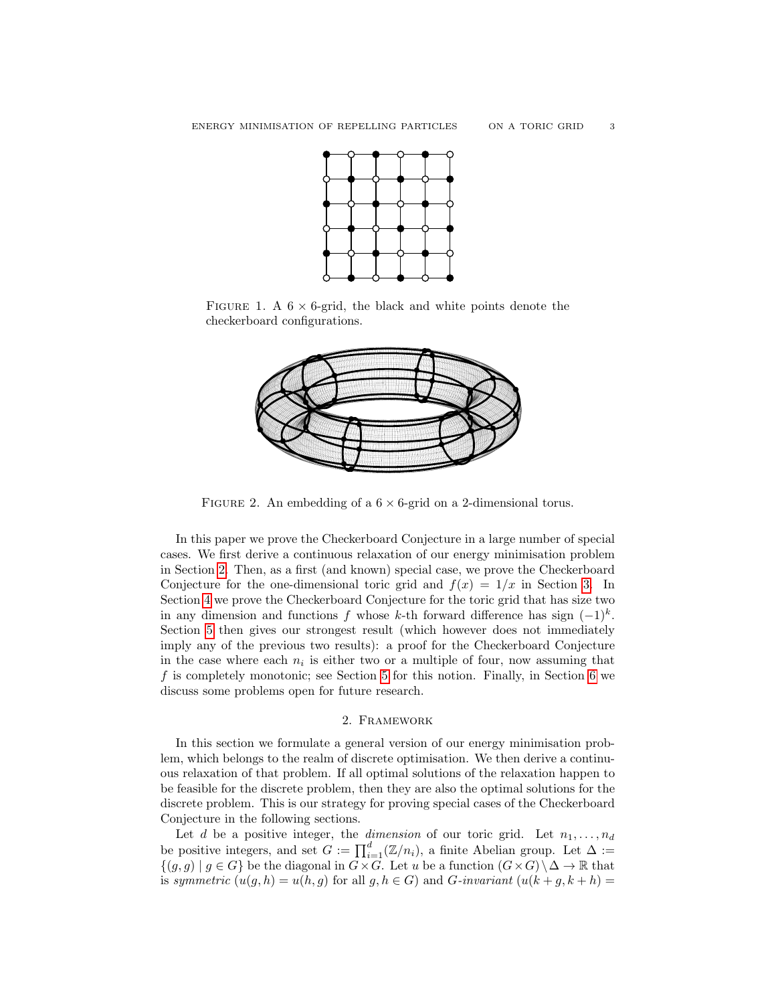

FIGURE 1. A  $6 \times 6$ -grid, the black and white points denote the checkerboard configurations.

<span id="page-2-2"></span>

<span id="page-2-1"></span>FIGURE 2. An embedding of a  $6 \times 6$ -grid on a 2-dimensional torus.

In this paper we prove the Checkerboard Conjecture in a large number of special cases. We first derive a continuous relaxation of our energy minimisation problem in Section [2.](#page-2-0) Then, as a first (and known) special case, we prove the Checkerboard Conjecture for the one-dimensional toric grid and  $f(x) = 1/x$  in Section [3.](#page-8-0) In Section [4](#page-10-0) we prove the Checkerboard Conjecture for the toric grid that has size two in any dimension and functions f whose k-th forward difference has sign  $(-1)^k$ . Section [5](#page-11-0) then gives our strongest result (which however does not immediately imply any of the previous two results): a proof for the Checkerboard Conjecture in the case where each  $n_i$  is either two or a multiple of four, now assuming that  $f$  is completely monotonic; see Section [5](#page-11-0) for this notion. Finally, in Section [6](#page-15-0) we discuss some problems open for future research.

### 2. Framework

<span id="page-2-0"></span>In this section we formulate a general version of our energy minimisation problem, which belongs to the realm of discrete optimisation. We then derive a continuous relaxation of that problem. If all optimal solutions of the relaxation happen to be feasible for the discrete problem, then they are also the optimal solutions for the discrete problem. This is our strategy for proving special cases of the Checkerboard Conjecture in the following sections.

Let d be a positive integer, the dimension of our toric grid. Let  $n_1, \ldots, n_d$ be positive integers, and set  $G := \prod_{i=1}^{d} (\mathbb{Z}/n_i)$ , a finite Abelian group. Let  $\Delta :=$  $\{(g,g) \mid g \in G\}$  be the diagonal in  $G \times G$ . Let u be a function  $(G \times G) \setminus \Delta \to \mathbb{R}$  that is symmetric  $(u(q, h) = u(h, q)$  for all  $q, h \in G$ ) and G-invariant  $(u(k + q, k + h))$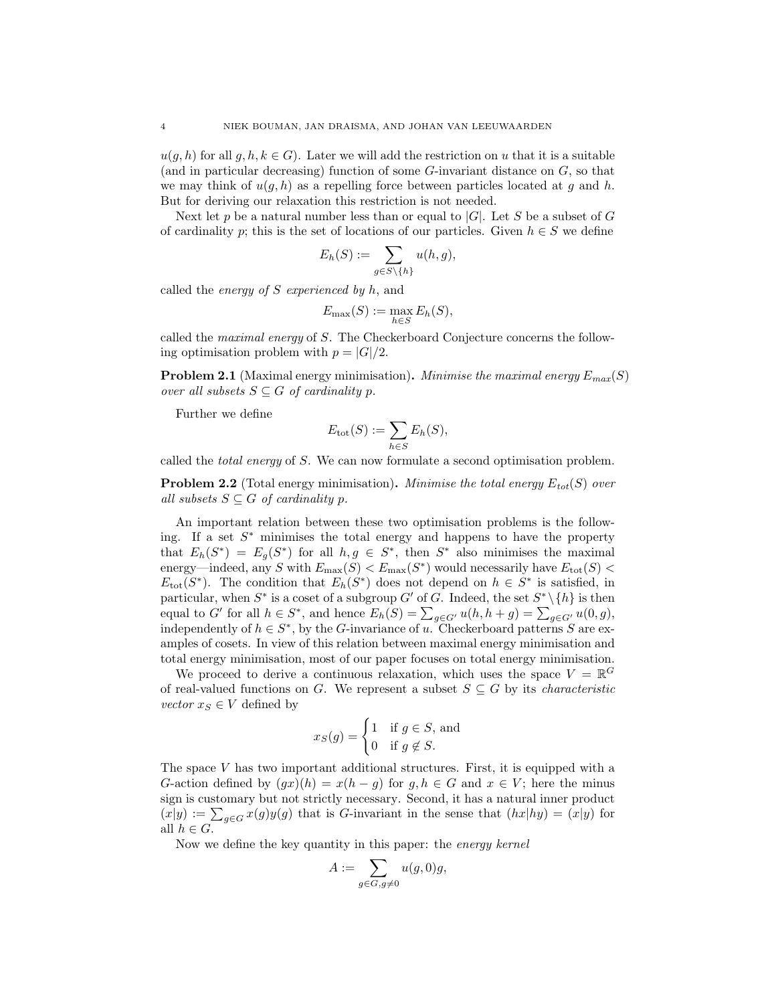$u(q, h)$  for all  $q, h, k \in G$ . Later we will add the restriction on u that it is a suitable (and in particular decreasing) function of some G-invariant distance on G, so that we may think of  $u(g, h)$  as a repelling force between particles located at g and h. But for deriving our relaxation this restriction is not needed.

Next let p be a natural number less than or equal to  $|G|$ . Let S be a subset of G of cardinality p; this is the set of locations of our particles. Given  $h \in S$  we define

$$
E_h(S) := \sum_{g \in S \setminus \{h\}} u(h, g),
$$

called the *energy of*  $S$  *experienced by h*, and

$$
E_{\max}(S) := \max_{h \in S} E_h(S),
$$

called the maximal energy of S. The Checkerboard Conjecture concerns the following optimisation problem with  $p = |G|/2$ .

**Problem 2.1** (Maximal energy minimisation). Minimise the maximal energy  $E_{max}(S)$ over all subsets  $S \subseteq G$  of cardinality p.

Further we define

$$
E_{\text{tot}}(S) := \sum_{h \in S} E_h(S),
$$

called the total energy of S. We can now formulate a second optimisation problem.

**Problem 2.2** (Total energy minimisation). Minimise the total energy  $E_{tot}(S)$  over all subsets  $S \subseteq G$  of cardinality p.

An important relation between these two optimisation problems is the following. If a set  $S^*$  minimises the total energy and happens to have the property that  $E_h(S^*) = E_g(S^*)$  for all  $h, g \in S^*$ , then  $S^*$  also minimises the maximal energy—indeed, any S with  $E_{\text{max}}(S) < E_{\text{max}}(S^*)$  would necessarily have  $E_{\text{tot}}(S)$  <  $E_{\text{tot}}(S^*)$ . The condition that  $E_h(S^*)$  does not depend on  $h \in S^*$  is satisfied, in particular, when  $S^*$  is a coset of a subgroup  $G'$  of G. Indeed, the set  $S^* \setminus \{h\}$  is then equal to G' for all  $h \in S^*$ , and hence  $E_h(S) = \sum_{g \in G'} u(h, h + g) = \sum_{g \in G'} u(0, g)$ , independently of  $h \in S^*$ , by the G-invariance of u. Checkerboard patterns S are examples of cosets. In view of this relation between maximal energy minimisation and total energy minimisation, most of our paper focuses on total energy minimisation.

We proceed to derive a continuous relaxation, which uses the space  $V = \mathbb{R}^G$ of real-valued functions on G. We represent a subset  $S \subseteq G$  by its *characteristic vector*  $x_S \in V$  defined by

$$
x_S(g) = \begin{cases} 1 & \text{if } g \in S, \text{ and} \\ 0 & \text{if } g \notin S. \end{cases}
$$

The space  $V$  has two important additional structures. First, it is equipped with a G-action defined by  $(gx)(h) = x(h - g)$  for  $g, h \in G$  and  $x \in V$ ; here the minus sign is customary but not strictly necessary. Second, it has a natural inner product  $(x|y) := \sum_{g \in G} x(g)y(g)$  that is G-invariant in the sense that  $(hx|h y) = (x|y)$  for all  $h \in G$ .

Now we define the key quantity in this paper: the energy kernel

$$
A := \sum_{g \in G, g \neq 0} u(g, 0)g,
$$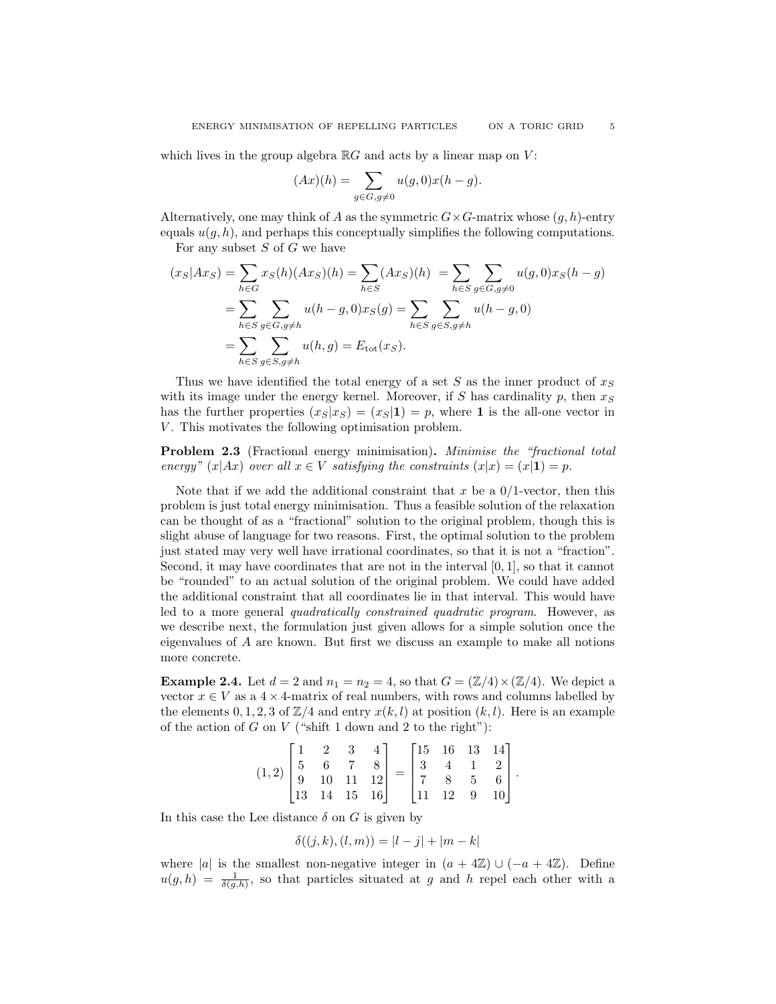which lives in the group algebra  $\mathbb{R}G$  and acts by a linear map on V:

$$
(Ax)(h) = \sum_{g \in G, g \neq 0} u(g, 0)x(h - g).
$$

Alternatively, one may think of A as the symmetric  $G \times G$ -matrix whose  $(q, h)$ -entry equals  $u(q, h)$ , and perhaps this conceptually simplifies the following computations.

For any subset  $S$  of  $G$  we have

$$
(x_S|Ax_S) = \sum_{h \in G} x_S(h)(Ax_S)(h) = \sum_{h \in S} (Ax_S)(h) = \sum_{h \in S} \sum_{g \in G, g \neq 0} u(g, 0)x_S(h - g)
$$
  
= 
$$
\sum_{h \in S} \sum_{g \in G, g \neq h} u(h - g, 0)x_S(g) = \sum_{h \in S} \sum_{g \in S, g \neq h} u(h - g, 0)
$$
  
= 
$$
\sum_{h \in S} \sum_{g \in S, g \neq h} u(h, g) = E_{\text{tot}}(x_S).
$$

Thus we have identified the total energy of a set S as the inner product of  $x_S$ with its image under the energy kernel. Moreover, if  $S$  has cardinality  $p$ , then  $x_S$ has the further properties  $(x_S|x_S) = (x_S|\mathbf{1}) = p$ , where 1 is the all-one vector in V. This motivates the following optimisation problem.

Problem 2.3 (Fractional energy minimisation). Minimise the "fractional total energy"  $(x|Ax)$  over all  $x \in V$  satisfying the constraints  $(x|x) = (x|1) = p$ .

Note that if we add the additional constraint that x be a  $0/1$ -vector, then this problem is just total energy minimisation. Thus a feasible solution of the relaxation can be thought of as a "fractional" solution to the original problem, though this is slight abuse of language for two reasons. First, the optimal solution to the problem just stated may very well have irrational coordinates, so that it is not a "fraction". Second, it may have coordinates that are not in the interval [0, 1], so that it cannot be "rounded" to an actual solution of the original problem. We could have added the additional constraint that all coordinates lie in that interval. This would have led to a more general quadratically constrained quadratic program. However, as we describe next, the formulation just given allows for a simple solution once the eigenvalues of A are known. But first we discuss an example to make all notions more concrete.

<span id="page-4-0"></span>**Example 2.4.** Let  $d = 2$  and  $n_1 = n_2 = 4$ , so that  $G = (\mathbb{Z}/4) \times (\mathbb{Z}/4)$ . We depict a vector  $x \in V$  as a  $4 \times 4$ -matrix of real numbers, with rows and columns labelled by the elements  $0, 1, 2, 3$  of  $\mathbb{Z}/4$  and entry  $x(k, l)$  at position  $(k, l)$ . Here is an example of the action of  $G$  on  $V$  ("shift 1 down and 2 to the right"):

$$
(1,2)\begin{bmatrix} 1 & 2 & 3 & 4 \\ 5 & 6 & 7 & 8 \\ 9 & 10 & 11 & 12 \\ 13 & 14 & 15 & 16 \end{bmatrix} = \begin{bmatrix} 15 & 16 & 13 & 14 \\ 3 & 4 & 1 & 2 \\ 7 & 8 & 5 & 6 \\ 11 & 12 & 9 & 10 \end{bmatrix}.
$$

In this case the Lee distance  $\delta$  on G is given by

$$
\delta((j,k),(l,m)) = |l-j| + |m-k|
$$

where |a| is the smallest non-negative integer in  $(a + 4\mathbb{Z}) \cup (-a + 4\mathbb{Z})$ . Define  $u(g, h) = \frac{1}{\delta(g, h)},$  so that particles situated at g and h repel each other with a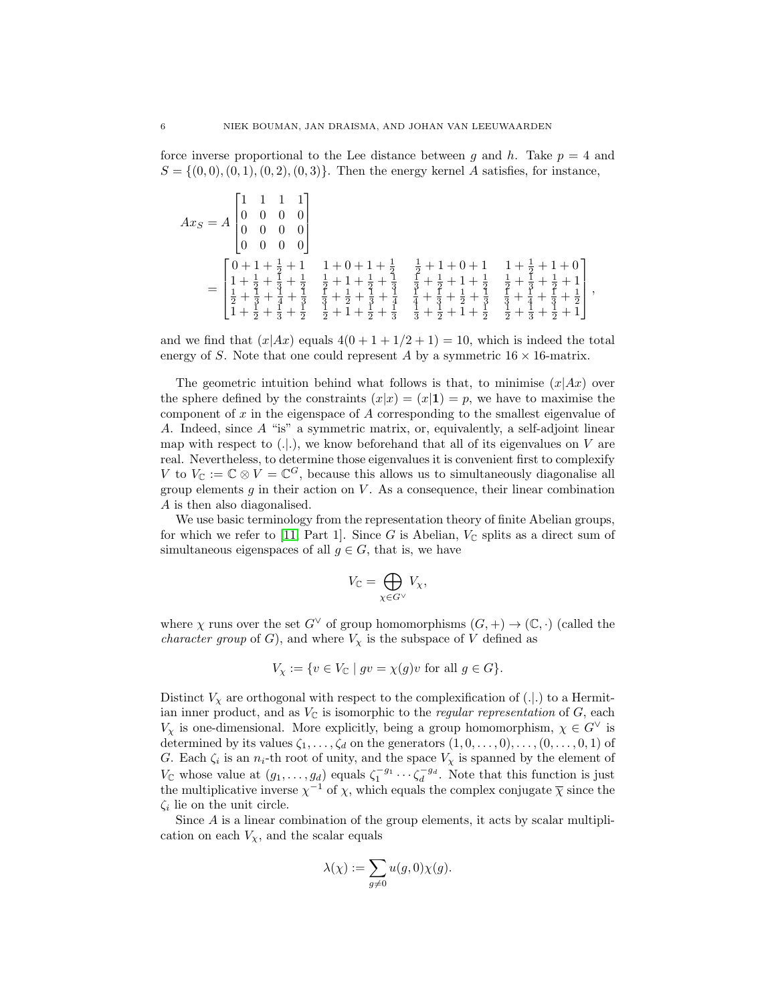force inverse proportional to the Lee distance between q and h. Take  $p = 4$  and  $S = \{(0, 0), (0, 1), (0, 2), (0, 3)\}.$  Then the energy kernel A satisfies, for instance,

$$
Ax_S = A \begin{bmatrix} 1 & 1 & 1 & 1 \\ 0 & 0 & 0 & 0 \\ 0 & 0 & 0 & 0 \\ 0 & 0 & 0 & 0 \end{bmatrix}
$$
  
= 
$$
\begin{bmatrix} 0+1+\frac{1}{2}+1 & 1+0+1+\frac{1}{2} & \frac{1}{2}+1+0+1 & 1+\frac{1}{2}+1+0 \\ 1+\frac{1}{2}+\frac{1}{3}+\frac{1}{2} & \frac{1}{2}+1+\frac{1}{2}+\frac{1}{3} & \frac{1}{3}+\frac{1}{2}+1+\frac{1}{2} & \frac{1}{2}+\frac{1}{3}+\frac{1}{2}+1 \\ \frac{1}{2}+\frac{1}{3}+\frac{1}{4}+\frac{1}{3} & \frac{1}{3}+\frac{1}{2}+\frac{1}{3}+\frac{1}{4} & \frac{1}{4}+\frac{1}{3}+\frac{1}{2}+\frac{1}{3} & \frac{1}{3}+\frac{1}{2}+\frac{1}{3}+\frac{1}{2} \end{bmatrix}
$$

,

and we find that  $(x|Ax)$  equals  $4(0+1+1/2+1) = 10$ , which is indeed the total energy of S. Note that one could represent A by a symmetric  $16 \times 16$ -matrix.

The geometric intuition behind what follows is that, to minimise  $(x|Ax)$  over the sphere defined by the constraints  $(x|x) = (x|1) = p$ , we have to maximise the component of x in the eigenspace of A corresponding to the smallest eigenvalue of A. Indeed, since A "is" a symmetric matrix, or, equivalently, a self-adjoint linear map with respect to  $(.).$ , we know beforehand that all of its eigenvalues on V are real. Nevertheless, to determine those eigenvalues it is convenient first to complexify V to  $V_{\mathbb{C}} := \mathbb{C} \otimes V = \mathbb{C}^G$ , because this allows us to simultaneously diagonalise all group elements  $g$  in their action on  $V$ . As a consequence, their linear combination A is then also diagonalised.

We use basic terminology from the representation theory of finite Abelian groups, for which we refer to [\[11,](#page-17-6) Part 1]. Since G is Abelian,  $V_{\mathbb{C}}$  splits as a direct sum of simultaneous eigenspaces of all  $g \in G$ , that is, we have

$$
V_{\mathbb C}=\bigoplus_{\chi\in G^\vee} V_\chi,
$$

where  $\chi$  runs over the set  $G^{\vee}$  of group homomorphisms  $(G, +) \to (\mathbb{C}, \cdot)$  (called the *character group* of G), and where  $V_{\chi}$  is the subspace of V defined as

$$
V_{\chi} := \{ v \in V_{\mathbb{C}} \mid gv = \chi(g)v \text{ for all } g \in G \}.
$$

Distinct  $V_{\chi}$  are orthogonal with respect to the complexification of (...) to a Hermitian inner product, and as  $V_{\mathbb{C}}$  is isomorphic to the *regular representation* of  $G$ , each  $V_\chi$  is one-dimensional. More explicitly, being a group homomorphism,  $\chi \in G^{\vee}$  is determined by its values  $\zeta_1, \ldots, \zeta_d$  on the generators  $(1, 0, \ldots, 0), \ldots, (0, \ldots, 0, 1)$  of G. Each  $\zeta_i$  is an  $n_i$ -th root of unity, and the space  $V_\chi$  is spanned by the element of  $V_{\mathbb{C}}$  whose value at  $(g_1, \ldots, g_d)$  equals  $\zeta_1^{-g_1} \cdots \zeta_d^{-g_d}$ . Note that this function is just the multiplicative inverse  $\chi^{-1}$  of  $\chi$ , which equals the complex conjugate  $\bar{\chi}$  since the  $\zeta_i$  lie on the unit circle.

Since  $A$  is a linear combination of the group elements, it acts by scalar multiplication on each  $V_{\chi}$ , and the scalar equals

$$
\lambda(\chi):=\sum_{g\neq 0} u(g,0)\chi(g).
$$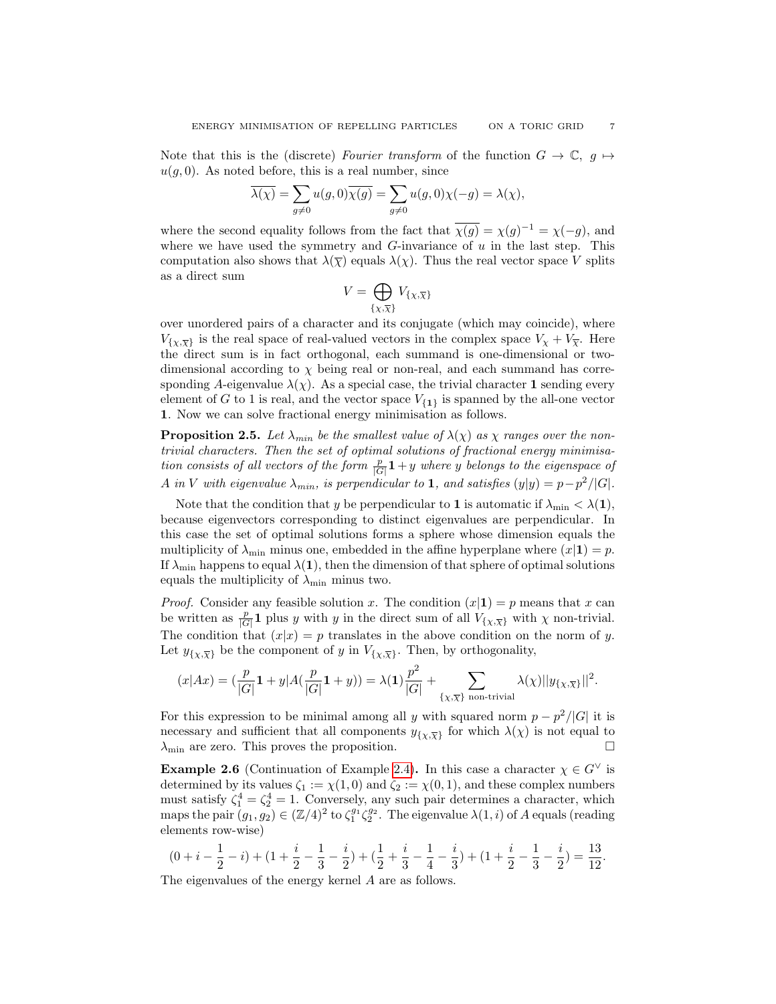Note that this is the (discrete) Fourier transform of the function  $G \to \mathbb{C}$ ,  $g \mapsto$  $u(q, 0)$ . As noted before, this is a real number, since

$$
\overline{\lambda(\chi)} = \sum_{g \neq 0} u(g,0)\overline{\chi(g)} = \sum_{g \neq 0} u(g,0)\chi(-g) = \lambda(\chi),
$$

where the second equality follows from the fact that  $\overline{\chi(g)} = \chi(g)^{-1} = \chi(-g)$ , and where we have used the symmetry and  $G$ -invariance of  $u$  in the last step. This computation also shows that  $\lambda(\overline{\chi})$  equals  $\lambda(\chi)$ . Thus the real vector space V splits as a direct sum

$$
V=\bigoplus_{\{\chi,\overline{\chi}\}}V_{\{\chi,\overline{\chi}\}}
$$

over unordered pairs of a character and its conjugate (which may coincide), where  $V_{\{x,\overline{X}\}}$  is the real space of real-valued vectors in the complex space  $V_x + V_{\overline{X}}$ . Here the direct sum is in fact orthogonal, each summand is one-dimensional or twodimensional according to  $\chi$  being real or non-real, and each summand has corresponding A-eigenvalue  $\lambda(\chi)$ . As a special case, the trivial character 1 sending every element of G to 1 is real, and the vector space  $V_{\{1\}}$  is spanned by the all-one vector 1. Now we can solve fractional energy minimisation as follows.

<span id="page-6-0"></span>**Proposition 2.5.** Let  $\lambda_{min}$  be the smallest value of  $\lambda(\chi)$  as  $\chi$  ranges over the nontrivial characters. Then the set of optimal solutions of fractional energy minimisation consists of all vectors of the form  $\frac{p}{|G|}\mathbf{1}+y$  where y belongs to the eigenspace of A in V with eigenvalue  $\lambda_{min}$ , is perpendicular to 1, and satisfies  $(y|y) = p - p^2/|G|$ .

Note that the condition that y be perpendicular to 1 is automatic if  $\lambda_{\min} < \lambda(1)$ , because eigenvectors corresponding to distinct eigenvalues are perpendicular. In this case the set of optimal solutions forms a sphere whose dimension equals the multiplicity of  $\lambda_{\min}$  minus one, embedded in the affine hyperplane where  $(x|1) = p$ . If  $\lambda_{\min}$  happens to equal  $\lambda(1)$ , then the dimension of that sphere of optimal solutions equals the multiplicity of  $\lambda_{\min}$  minus two.

*Proof.* Consider any feasible solution x. The condition  $(x|1) = p$  means that x can be written as  $\frac{p}{|G|}$ **1** plus y with y in the direct sum of all  $V_{\{\chi,\overline{\chi}\}}$  with  $\chi$  non-trivial. The condition that  $(x|x) = p$  translates in the above condition on the norm of y. Let  $y_{\{\chi,\overline{\chi}\}}$  be the component of y in  $V_{\{\chi,\overline{\chi}\}}$ . Then, by orthogonality,

$$
(x|Ax) = \left(\frac{p}{|G|}\mathbf{1} + y|A\left(\frac{p}{|G|}\mathbf{1} + y\right)\right) = \lambda(\mathbf{1})\frac{p^2}{|G|} + \sum_{\{\chi,\overline{\chi}\}\text{ non-trivial}} \lambda(\chi) ||y_{\{\chi,\overline{\chi}\}}||^2.
$$

For this expression to be minimal among all y with squared norm  $p - p^2/|G|$  it is necessary and sufficient that all components  $y_{\{\chi,\overline{\chi}\}}$  for which  $\lambda(\chi)$  is not equal to  $\lambda_{\min}$  are zero. This proves the proposition.

**Example 2.6** (Continuation of Example [2.4\)](#page-4-0). In this case a character  $\chi \in G^{\vee}$  is determined by its values  $\zeta_1 := \chi(1,0)$  and  $\zeta_2 := \chi(0,1)$ , and these complex numbers must satisfy  $\zeta_1^4 = \zeta_2^4 = 1$ . Conversely, any such pair determines a character, which maps the pair  $(g_1, g_2) \in (\mathbb{Z}/4)^2$  to  $\zeta_1^{g_1} \zeta_2^{g_2}$ . The eigenvalue  $\lambda(1, i)$  of A equals (reading elements row-wise)

$$
(0+i-\frac{1}{2}-i) + (1+\frac{i}{2}-\frac{1}{3}-\frac{i}{2}) + (\frac{1}{2}+\frac{i}{3}-\frac{1}{4}-\frac{i}{3}) + (1+\frac{i}{2}-\frac{1}{3}-\frac{i}{2}) = \frac{13}{12}.
$$

The eigenvalues of the energy kernel A are as follows.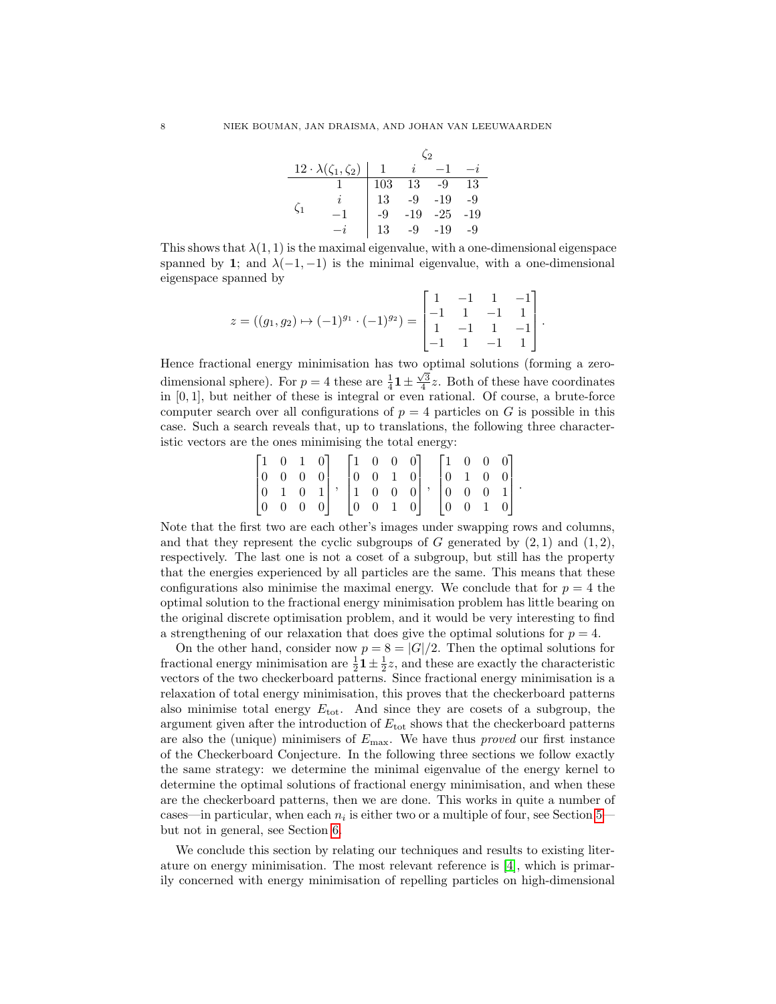|    |                                      | $\Omega$ |                 |       |     |  |  |  |  |
|----|--------------------------------------|----------|-----------------|-------|-----|--|--|--|--|
|    | $12 \cdot \lambda(\zeta_1, \zeta_2)$ |          | İ.              |       |     |  |  |  |  |
|    |                                      | 103      | $1\overline{3}$ | -9    | 13  |  |  |  |  |
|    |                                      | 13       | $-9$            | $-19$ | -9  |  |  |  |  |
| С1 |                                      | -9       | $-19$           | $-25$ | -19 |  |  |  |  |
|    |                                      | 13       | $-9$            | $-19$ | -9  |  |  |  |  |

This shows that  $\lambda(1,1)$  is the maximal eigenvalue, with a one-dimensional eigenspace spanned by 1; and  $\lambda(-1, -1)$  is the minimal eigenvalue, with a one-dimensional eigenspace spanned by

$$
z = ((g_1, g_2) \mapsto (-1)^{g_1} \cdot (-1)^{g_2}) = \begin{bmatrix} 1 & -1 & 1 & -1 \\ -1 & 1 & -1 & 1 \\ 1 & -1 & 1 & -1 \\ -1 & 1 & -1 & 1 \end{bmatrix}.
$$

Hence fractional energy minimisation has two optimal solutions (forming a zerodimensional sphere). For  $p = 4$  these are  $\frac{1}{4}$ **1**  $\pm \frac{\sqrt{3}}{4}z$ . Both of these have coordinates in  $[0, 1]$ , but neither of these is integral or even rational. Of course, a brute-force computer search over all configurations of  $p = 4$  particles on G is possible in this case. Such a search reveals that, up to translations, the following three characteristic vectors are the ones minimising the total energy:

|  |  | $\begin{bmatrix} 1 & 0 & 1 & 0 \end{bmatrix}$ $\begin{bmatrix} 1 & 0 & 0 & 0 \end{bmatrix}$ |                                               |  |                                                                                                                                                                                                                                               | $\begin{bmatrix} 1 & 0 & 0 & 0 \end{bmatrix}$ |  |  |
|--|--|---------------------------------------------------------------------------------------------|-----------------------------------------------|--|-----------------------------------------------------------------------------------------------------------------------------------------------------------------------------------------------------------------------------------------------|-----------------------------------------------|--|--|
|  |  |                                                                                             |                                               |  | $\begin{bmatrix} 0 & 0 & 0 & 0 \\ 0 & 1 & 0 & 1 \\ 0 & 0 & 0 & 0 \end{bmatrix}, \begin{bmatrix} 0 & 0 & 1 & 0 \\ 1 & 0 & 0 & 0 \\ 0 & 0 & 1 & 0 \end{bmatrix}, \begin{bmatrix} 0 & 1 & 0 & 0 \\ 0 & 0 & 0 & 1 \\ 0 & 0 & 1 & 0 \end{bmatrix}$ |                                               |  |  |
|  |  |                                                                                             |                                               |  |                                                                                                                                                                                                                                               |                                               |  |  |
|  |  |                                                                                             | $\begin{bmatrix} 0 & 0 & 1 & 0 \end{bmatrix}$ |  |                                                                                                                                                                                                                                               | $\begin{bmatrix} 0 & 0 & 1 & 0 \end{bmatrix}$ |  |  |

Note that the first two are each other's images under swapping rows and columns, and that they represent the cyclic subgroups of G generated by  $(2,1)$  and  $(1,2)$ , respectively. The last one is not a coset of a subgroup, but still has the property that the energies experienced by all particles are the same. This means that these configurations also minimise the maximal energy. We conclude that for  $p = 4$  the optimal solution to the fractional energy minimisation problem has little bearing on the original discrete optimisation problem, and it would be very interesting to find a strengthening of our relaxation that does give the optimal solutions for  $p = 4$ .

On the other hand, consider now  $p = 8 = |G|/2$ . Then the optimal solutions for fractional energy minimisation are  $\frac{1}{2}$ **1**  $\pm$   $\frac{1}{2}$ *z*, and these are exactly the characteristic vectors of the two checkerboard patterns. Since fractional energy minimisation is a relaxation of total energy minimisation, this proves that the checkerboard patterns also minimise total energy  $E_{\text{tot}}$ . And since they are cosets of a subgroup, the argument given after the introduction of  $E_{\text{tot}}$  shows that the checkerboard patterns are also the (unique) minimisers of  $E_{\text{max}}$ . We have thus *proved* our first instance of the Checkerboard Conjecture. In the following three sections we follow exactly the same strategy: we determine the minimal eigenvalue of the energy kernel to determine the optimal solutions of fractional energy minimisation, and when these are the checkerboard patterns, then we are done. This works in quite a number of cases—in particular, when each  $n_i$  is either two or a multiple of four, see Section [5](#page-11-0) but not in general, see Section [6.](#page-15-0)

We conclude this section by relating our techniques and results to existing literature on energy minimisation. The most relevant reference is [\[4\]](#page-17-3), which is primarily concerned with energy minimisation of repelling particles on high-dimensional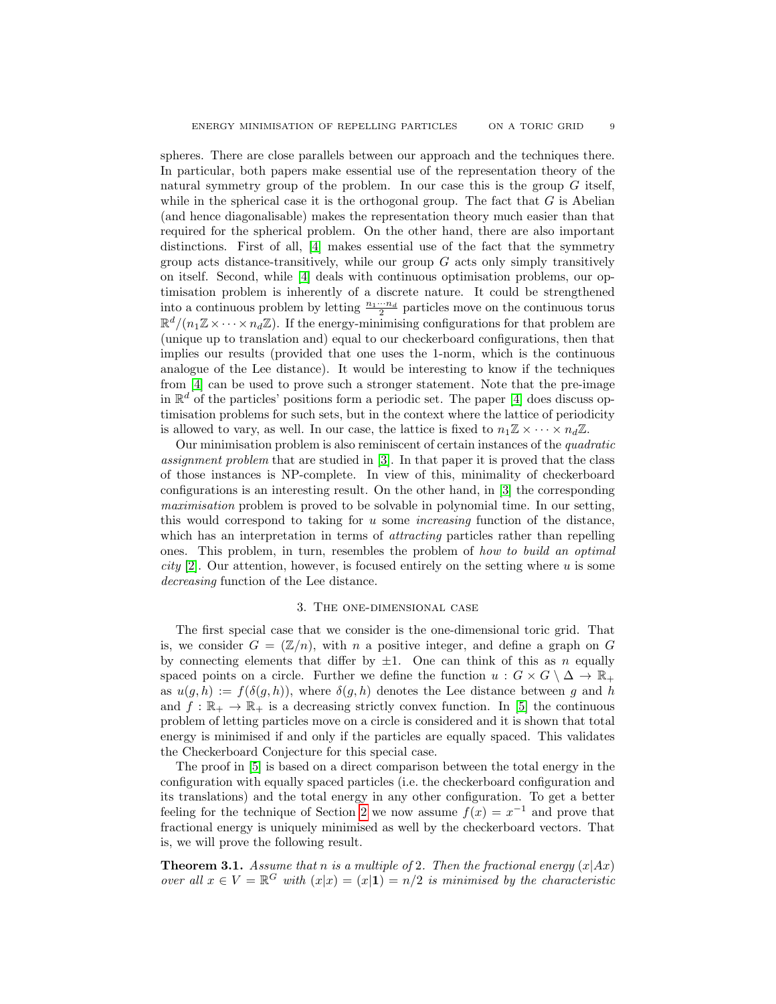spheres. There are close parallels between our approach and the techniques there. In particular, both papers make essential use of the representation theory of the natural symmetry group of the problem. In our case this is the group  $G$  itself, while in the spherical case it is the orthogonal group. The fact that  $G$  is Abelian (and hence diagonalisable) makes the representation theory much easier than that required for the spherical problem. On the other hand, there are also important distinctions. First of all, [\[4\]](#page-17-3) makes essential use of the fact that the symmetry group acts distance-transitively, while our group  $G$  acts only simply transitively on itself. Second, while [\[4\]](#page-17-3) deals with continuous optimisation problems, our optimisation problem is inherently of a discrete nature. It could be strengthened into a continuous problem by letting  $\frac{n_1\cdots n_d}{2}$  particles move on the continuous torus  $\mathbb{R}^d/(n_1\mathbb{Z}\times\cdots\times n_d\mathbb{Z})$ . If the energy-minimising configurations for that problem are (unique up to translation and) equal to our checkerboard configurations, then that implies our results (provided that one uses the 1-norm, which is the continuous analogue of the Lee distance). It would be interesting to know if the techniques from [\[4\]](#page-17-3) can be used to prove such a stronger statement. Note that the pre-image in  $\mathbb{R}^d$  of the particles' positions form a periodic set. The paper [\[4\]](#page-17-3) does discuss optimisation problems for such sets, but in the context where the lattice of periodicity is allowed to vary, as well. In our case, the lattice is fixed to  $n_1\mathbb{Z} \times \cdots \times n_d\mathbb{Z}$ .

Our minimisation problem is also reminiscent of certain instances of the quadratic assignment problem that are studied in [\[3\]](#page-17-7). In that paper it is proved that the class of those instances is NP-complete. In view of this, minimality of checkerboard configurations is an interesting result. On the other hand, in [\[3\]](#page-17-7) the corresponding maximisation problem is proved to be solvable in polynomial time. In our setting, this would correspond to taking for  $u$  some *increasing* function of the distance, which has an interpretation in terms of *attracting* particles rather than repelling ones. This problem, in turn, resembles the problem of how to build an optimal *city* [\[2\]](#page-17-8). Our attention, however, is focused entirely on the setting where  $u$  is some decreasing function of the Lee distance.

## 3. The one-dimensional case

<span id="page-8-0"></span>The first special case that we consider is the one-dimensional toric grid. That is, we consider  $G = (\mathbb{Z}/n)$ , with n a positive integer, and define a graph on G by connecting elements that differ by  $\pm 1$ . One can think of this as n equally spaced points on a circle. Further we define the function  $u : G \times G \setminus \Delta \to \mathbb{R}_+$ as  $u(g, h) := f(\delta(g, h))$ , where  $\delta(g, h)$  denotes the Lee distance between g and h and  $f : \mathbb{R}_+ \to \mathbb{R}_+$  is a decreasing strictly convex function. In [\[5\]](#page-17-9) the continuous problem of letting particles move on a circle is considered and it is shown that total energy is minimised if and only if the particles are equally spaced. This validates the Checkerboard Conjecture for this special case.

The proof in [\[5\]](#page-17-9) is based on a direct comparison between the total energy in the configuration with equally spaced particles (i.e. the checkerboard configuration and its translations) and the total energy in any other configuration. To get a better feeling for the technique of Section [2](#page-2-0) we now assume  $f(x) = x^{-1}$  and prove that fractional energy is uniquely minimised as well by the checkerboard vectors. That is, we will prove the following result.

<span id="page-8-1"></span>**Theorem 3.1.** Assume that n is a multiple of 2. Then the fractional energy  $(x|Ax)$ over all  $x \in V = \mathbb{R}^G$  with  $(x|x) = (x|1) = n/2$  is minimised by the characteristic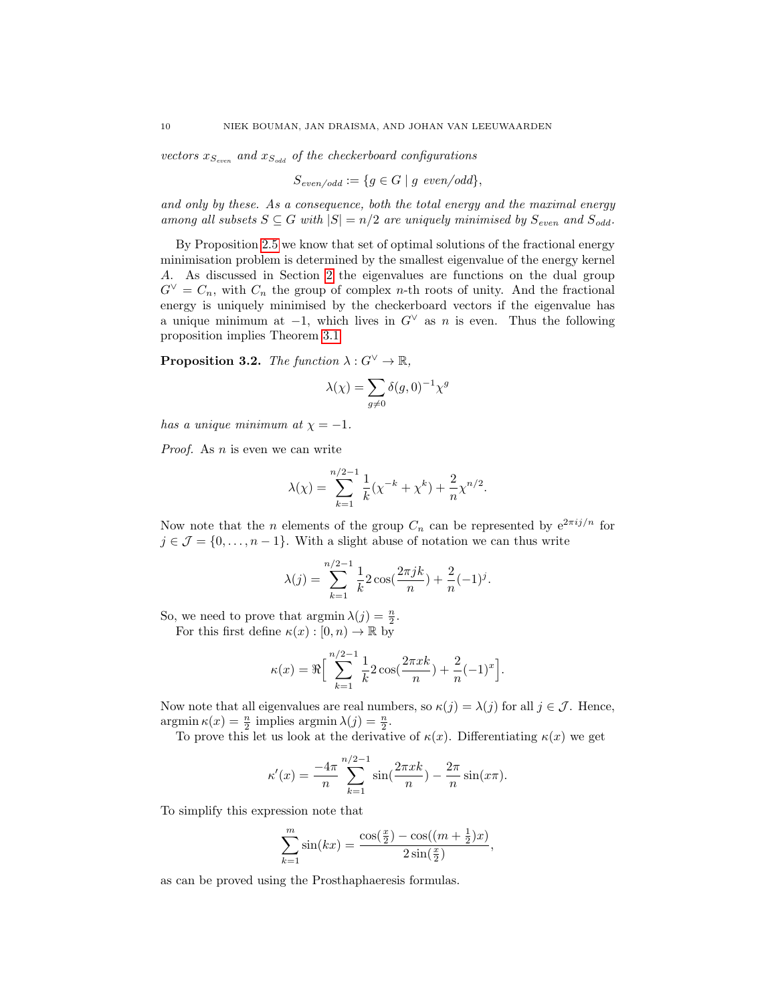vectors  $x_{S_{even}}$  and  $x_{S_{odd}}$  of the checkerboard configurations

$$
S_{even/odd} := \{ g \in G \mid g \text{ even/odd} \},
$$

and only by these. As a consequence, both the total energy and the maximal energy among all subsets  $S \subseteq G$  with  $|S| = n/2$  are uniquely minimised by  $S_{even}$  and  $S_{odd}$ .

By Proposition [2.5](#page-6-0) we know that set of optimal solutions of the fractional energy minimisation problem is determined by the smallest eigenvalue of the energy kernel A. As discussed in Section [2](#page-2-0) the eigenvalues are functions on the dual group  $G^{\vee} = C_n$ , with  $C_n$  the group of complex n-th roots of unity. And the fractional energy is uniquely minimised by the checkerboard vectors if the eigenvalue has a unique minimum at  $-1$ , which lives in  $G^{\vee}$  as n is even. Thus the following proposition implies Theorem [3.1](#page-8-1)

**Proposition 3.2.** The function  $\lambda: G^{\vee} \to \mathbb{R}$ ,

$$
\lambda(\chi)=\sum_{g\neq 0}\delta(g,0)^{-1}\chi^g
$$

has a unique minimum at  $\chi = -1$ .

Proof. As *n* is even we can write

$$
\lambda(\chi) = \sum_{k=1}^{n/2-1} \frac{1}{k} (\chi^{-k} + \chi^{k}) + \frac{2}{n} \chi^{n/2}.
$$

Now note that the *n* elements of the group  $C_n$  can be represented by  $e^{2\pi i j/n}$  for  $j \in \mathcal{J} = \{0, \ldots, n-1\}$ . With a slight abuse of notation we can thus write

$$
\lambda(j) = \sum_{k=1}^{n/2-1} \frac{1}{k} 2 \cos(\frac{2\pi jk}{n}) + \frac{2}{n} (-1)^j.
$$

So, we need to prove that  $\operatorname{argmin} \lambda(j) = \frac{n}{2}$ .

For this first define  $\kappa(x):[0,n)\to\mathbb{R}$  by

$$
\kappa(x) = \Re \Big[ \sum_{k=1}^{n/2-1} \frac{1}{k} 2 \cos(\frac{2\pi xk}{n}) + \frac{2}{n} (-1)^x \Big].
$$

Now note that all eigenvalues are real numbers, so  $\kappa(j) = \lambda(j)$  for all  $j \in \mathcal{J}$ . Hence,  $\operatorname{argmin} \kappa(x) = \frac{n}{2}$  implies  $\operatorname{argmin} \lambda(j) = \frac{n}{2}$ .

To prove this let us look at the derivative of  $\kappa(x)$ . Differentiating  $\kappa(x)$  we get

$$
\kappa'(x) = \frac{-4\pi}{n} \sum_{k=1}^{n/2-1} \sin(\frac{2\pi xk}{n}) - \frac{2\pi}{n} \sin(x\pi).
$$

To simplify this expression note that

$$
\sum_{k=1}^{m} \sin(kx) = \frac{\cos(\frac{x}{2}) - \cos((m + \frac{1}{2})x)}{2\sin(\frac{x}{2})},
$$

as can be proved using the Prosthaphaeresis formulas.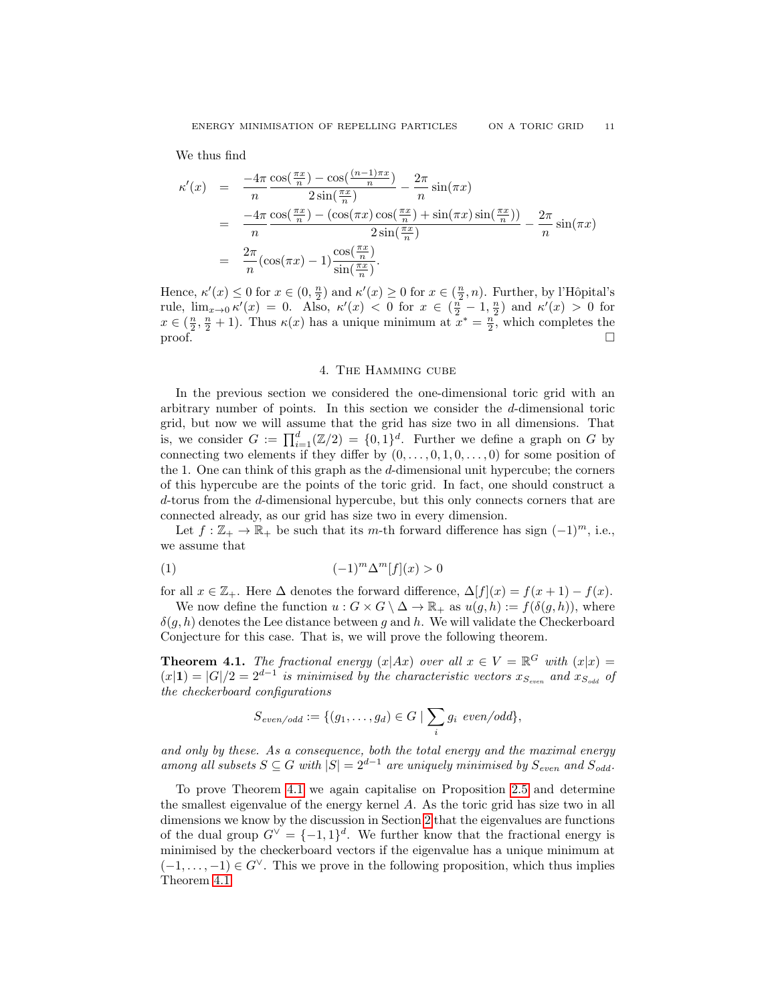We thus find

$$
\kappa'(x) = \frac{-4\pi}{n} \frac{\cos(\frac{\pi x}{n}) - \cos(\frac{(n-1)\pi x}{n})}{2\sin(\frac{\pi x}{n})} - \frac{2\pi}{n} \sin(\pi x)
$$
  
\n
$$
= \frac{-4\pi}{n} \frac{\cos(\frac{\pi x}{n}) - (\cos(\pi x)\cos(\frac{\pi x}{n}) + \sin(\pi x)\sin(\frac{\pi x}{n}))}{2\sin(\frac{\pi x}{n})} - \frac{2\pi}{n} \sin(\pi x)
$$
  
\n
$$
= \frac{2\pi}{n} (\cos(\pi x) - 1) \frac{\cos(\frac{\pi x}{n})}{\sin(\frac{\pi x}{n})}.
$$

Hence,  $\kappa'(x) \leq 0$  for  $x \in (0, \frac{n}{2})$  and  $\kappa'(x) \geq 0$  for  $x \in (\frac{n}{2}, n)$ . Further, by l'Hôpital's rule,  $\lim_{x\to 0} \kappa'(x) = 0$ . Also,  $\kappa'(x) < 0$  for  $x \in (\frac{n}{2} - 1, \frac{n}{2})$  and  $\kappa'(x) > 0$  for  $x \in (\frac{n}{2}, \frac{n}{2} + 1)$ . Thus  $\kappa(x)$  has a unique minimum at  $x^* = \frac{n}{2}$ , which completes the  $\Box$  proof.

# 4. The Hamming cube

<span id="page-10-0"></span>In the previous section we considered the one-dimensional toric grid with an arbitrary number of points. In this section we consider the d-dimensional toric grid, but now we will assume that the grid has size two in all dimensions. That is, we consider  $G := \prod_{i=1}^d (\mathbb{Z}/2) = \{0,1\}^d$ . Further we define a graph on G by connecting two elements if they differ by  $(0, \ldots, 0, 1, 0, \ldots, 0)$  for some position of the 1. One can think of this graph as the d-dimensional unit hypercube; the corners of this hypercube are the points of the toric grid. In fact, one should construct a d-torus from the d-dimensional hypercube, but this only connects corners that are connected already, as our grid has size two in every dimension.

Let  $f : \mathbb{Z}_+ \to \mathbb{R}_+$  be such that its m-th forward difference has sign  $(-1)^m$ , i.e., we assume that

$$
(1) \qquad \qquad (-1)^m \Delta^m[f](x) > 0
$$

for all  $x \in \mathbb{Z}_+$ . Here  $\Delta$  denotes the forward difference,  $\Delta[f](x) = f(x+1) - f(x)$ .

We now define the function  $u : G \times G \setminus \Delta \to \mathbb{R}_+$  as  $u(g, h) := f(\delta(g, h)),$  where  $\delta(q, h)$  denotes the Lee distance between g and h. We will validate the Checkerboard Conjecture for this case. That is, we will prove the following theorem.

<span id="page-10-1"></span>**Theorem 4.1.** The fractional energy  $(x|Ax)$  over all  $x \in V = \mathbb{R}^G$  with  $(x|x) =$  $(x|1) = |G|/2 = 2^{d-1}$  is minimised by the characteristic vectors  $x_{S_{even}}$  and  $x_{S_{odd}}$  of the checkerboard configurations

$$
S_{even/odd} := \{(g_1, \ldots, g_d) \in G \mid \sum_i g_i \text{ even/odd}\},
$$

and only by these. As a consequence, both the total energy and the maximal energy among all subsets  $S \subseteq G$  with  $|S| = 2^{d-1}$  are uniquely minimised by  $S_{even}$  and  $S_{odd}$ .

To prove Theorem [4.1](#page-10-1) we again capitalise on Proposition [2.5](#page-6-0) and determine the smallest eigenvalue of the energy kernel A. As the toric grid has size two in all dimensions we know by the discussion in Section [2](#page-2-0) that the eigenvalues are functions of the dual group  $G^{\vee} = \{-1,1\}^d$ . We further know that the fractional energy is minimised by the checkerboard vectors if the eigenvalue has a unique minimum at  $(-1, \ldots, -1) \in G^{\vee}$ . This we prove in the following proposition, which thus implies Theorem [4.1.](#page-10-1)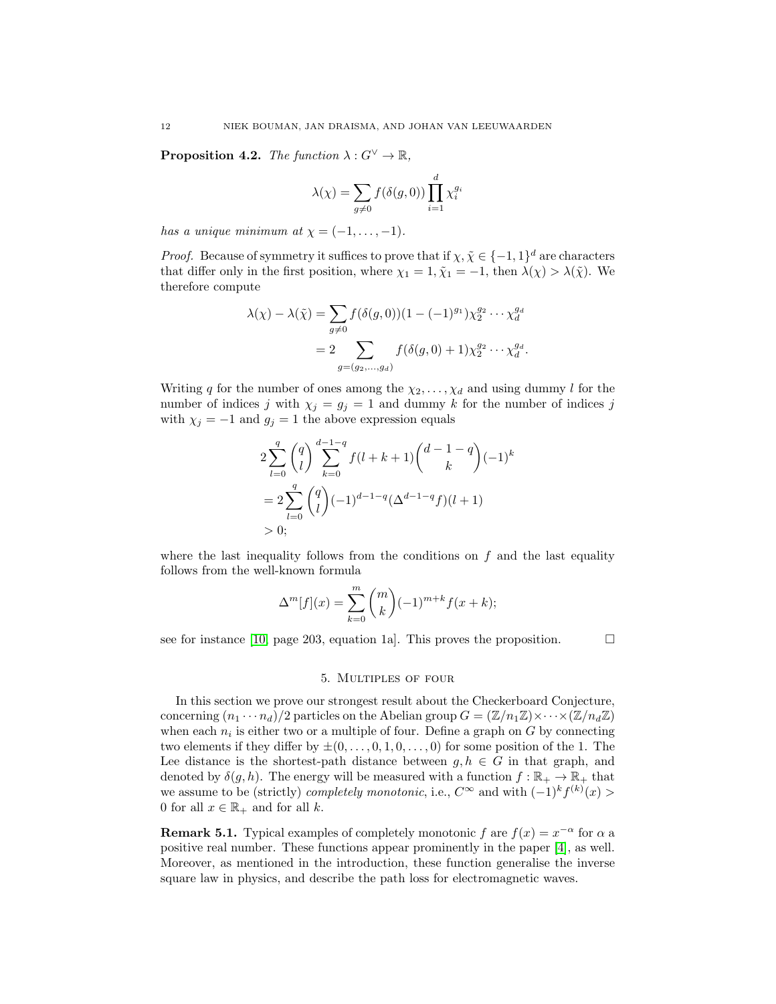**Proposition 4.2.** The function  $\lambda: G^{\vee} \to \mathbb{R}$ ,

$$
\lambda(\chi) = \sum_{g \neq 0} f(\delta(g, 0)) \prod_{i=1}^d \chi_i^{g_i}
$$

has a unique minimum at  $\chi = (-1, \ldots, -1)$ .

*Proof.* Because of symmetry it suffices to prove that if  $\chi, \tilde{\chi} \in \{-1, 1\}^d$  are characters that differ only in the first position, where  $\chi_1 = 1, \tilde{\chi}_1 = -1$ , then  $\lambda(\chi) > \lambda(\tilde{\chi})$ . We therefore compute

$$
\lambda(\chi) - \lambda(\tilde{\chi}) = \sum_{g \neq 0} f(\delta(g, 0))(1 - (-1)^{g_1}) \chi_2^{g_2} \cdots \chi_d^{g_d}
$$
  
= 
$$
2 \sum_{g = (g_2, \dots, g_d)} f(\delta(g, 0) + 1) \chi_2^{g_2} \cdots \chi_d^{g_d}.
$$

Writing q for the number of ones among the  $\chi_2, \ldots, \chi_d$  and using dummy l for the number of indices j with  $\chi_j = g_j = 1$  and dummy k for the number of indices j with  $\chi_j = -1$  and  $g_j = 1$  the above expression equals

$$
2\sum_{l=0}^{q} {q \choose l} \sum_{k=0}^{d-1-q} f(l+k+1) {d-1-q \choose k} (-1)^k
$$
  
= 
$$
2\sum_{l=0}^{q} {q \choose l} (-1)^{d-1-q} (\Delta^{d-1-q} f)(l+1)
$$
  
> 0;

where the last inequality follows from the conditions on  $f$  and the last equality follows from the well-known formula

$$
\Delta^{m}[f](x) = \sum_{k=0}^{m} {m \choose k} (-1)^{m+k} f(x+k);
$$

see for instance [\[10,](#page-17-10) page 203, equation 1a]. This proves the proposition.  $\Box$ 

### 5. Multiples of four

<span id="page-11-0"></span>In this section we prove our strongest result about the Checkerboard Conjecture, concerning  $(n_1 \cdots n_d)/2$  particles on the Abelian group  $G = (\mathbb{Z}/n_1\mathbb{Z}) \times \cdots \times (\mathbb{Z}/n_d\mathbb{Z})$ when each  $n_i$  is either two or a multiple of four. Define a graph on  $G$  by connecting two elements if they differ by  $\pm (0, \ldots, 0, 1, 0, \ldots, 0)$  for some position of the 1. The Lee distance is the shortest-path distance between  $q, h \in G$  in that graph, and denoted by  $\delta(g, h)$ . The energy will be measured with a function  $f : \mathbb{R}_+ \to \mathbb{R}_+$  that we assume to be (strictly) *completely monotonic*, i.e.,  $C^{\infty}$  and with  $(-1)^k f^{(k)}(x)$ 0 for all  $x \in \mathbb{R}_+$  and for all k.

**Remark 5.1.** Typical examples of completely monotonic f are  $f(x) = x^{-\alpha}$  for  $\alpha$  a positive real number. These functions appear prominently in the paper [\[4\]](#page-17-3), as well. Moreover, as mentioned in the introduction, these function generalise the inverse square law in physics, and describe the path loss for electromagnetic waves.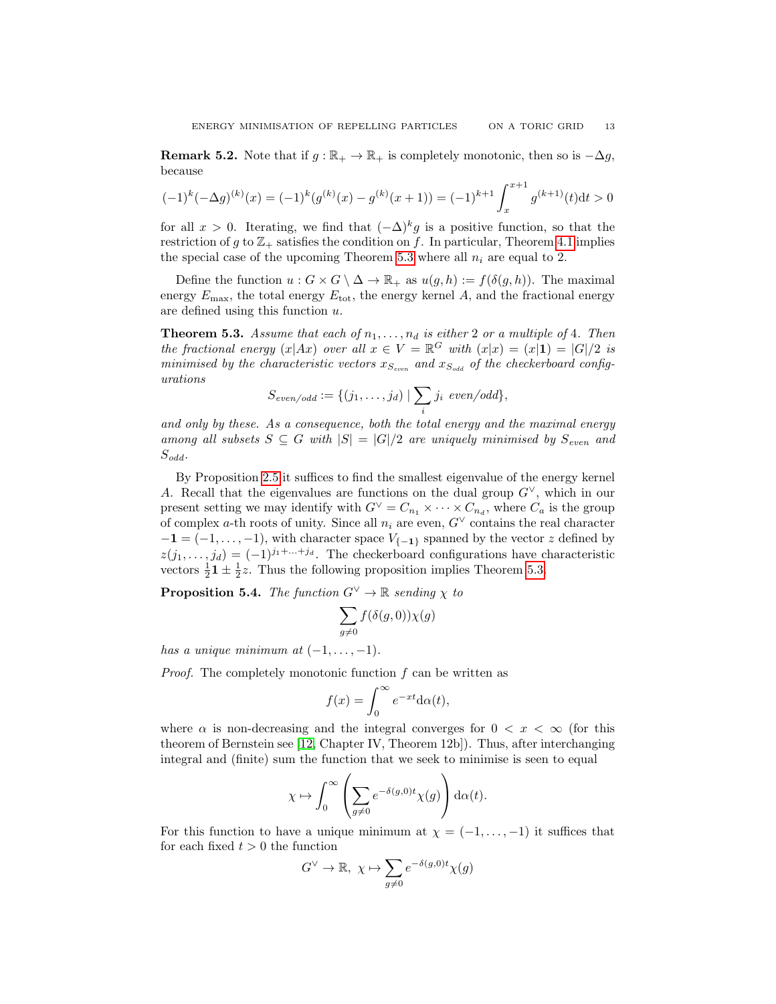**Remark 5.2.** Note that if  $g : \mathbb{R}_+ \to \mathbb{R}_+$  is completely monotonic, then so is  $-\Delta g$ , because

$$
(-1)^{k}(-\Delta g)^{(k)}(x) = (-1)^{k}(g^{(k)}(x) - g^{(k)}(x+1)) = (-1)^{k+1} \int_{x}^{x+1} g^{(k+1)}(t)dt > 0
$$

for all  $x > 0$ . Iterating, we find that  $(-\Delta)^k g$  is a positive function, so that the restriction of g to  $\mathbb{Z}_+$  satisfies the condition on f. In particular, Theorem [4.1](#page-10-1) implies the special case of the upcoming Theorem [5.3](#page-12-0) where all  $n_i$  are equal to 2.

Define the function  $u : G \times G \setminus \Delta \to \mathbb{R}_+$  as  $u(g, h) := f(\delta(g, h))$ . The maximal energy  $E_{\text{max}}$ , the total energy  $E_{\text{tot}}$ , the energy kernel A, and the fractional energy are defined using this function u.

<span id="page-12-0"></span>**Theorem 5.3.** Assume that each of  $n_1, \ldots, n_d$  is either 2 or a multiple of 4. Then the fractional energy  $(x|Ax)$  over all  $x \in V = \mathbb{R}^G$  with  $(x|x) = (x|1) = |G|/2$  is minimised by the characteristic vectors  $x_{S_{even}}$  and  $x_{S_{odd}}$  of the checkerboard configurations

$$
S_{even/odd} := \{ (j_1, \ldots, j_d) \mid \sum_i j_i \text{ even/odd} \},
$$

and only by these. As a consequence, both the total energy and the maximal energy among all subsets  $S \subseteq G$  with  $|S| = |G|/2$  are uniquely minimised by  $S_{even}$  and  $S_{odd}$ .

By Proposition [2.5](#page-6-0) it suffices to find the smallest eigenvalue of the energy kernel A. Recall that the eigenvalues are functions on the dual group  $G^{\vee}$ , which in our present setting we may identify with  $G^{\vee} = C_{n_1} \times \cdots \times C_{n_d}$ , where  $C_a$  is the group of complex a-th roots of unity. Since all  $n_i$  are even,  $G^{\vee}$  contains the real character  $-1 = (-1, \ldots, -1)$ , with character space  $V_{\{-1\}}$  spanned by the vector z defined by  $z(j_1, \ldots, j_d) = (-1)^{j_1 + \ldots + j_d}$ . The checkerboard configurations have characteristic vectors  $\frac{1}{2}$ **1**  $\pm$   $\frac{1}{2}$ *z*. Thus the following proposition implies Theorem [5.3.](#page-12-0)

<span id="page-12-1"></span>**Proposition 5.4.** The function  $G^{\vee} \to \mathbb{R}$  sending  $\chi$  to

$$
\sum_{g\neq 0} f(\delta(g,0))\chi(g)
$$

has a unique minimum at  $(-1, \ldots, -1)$ .

Proof. The completely monotonic function f can be written as

$$
f(x) = \int_0^\infty e^{-xt} \mathrm{d}\alpha(t),
$$

where  $\alpha$  is non-decreasing and the integral converges for  $0 < x < \infty$  (for this theorem of Bernstein see [\[12,](#page-17-11) Chapter IV, Theorem 12b]). Thus, after interchanging integral and (finite) sum the function that we seek to minimise is seen to equal

$$
\chi \mapsto \int_0^\infty \left( \sum_{g \neq 0} e^{-\delta(g,0)t} \chi(g) \right) d\alpha(t).
$$

For this function to have a unique minimum at  $\chi = (-1, \ldots, -1)$  it suffices that for each fixed  $t > 0$  the function

$$
G^{\vee} \to \mathbb{R}, \ \chi \mapsto \sum_{g \neq 0} e^{-\delta(g,0)t} \chi(g)
$$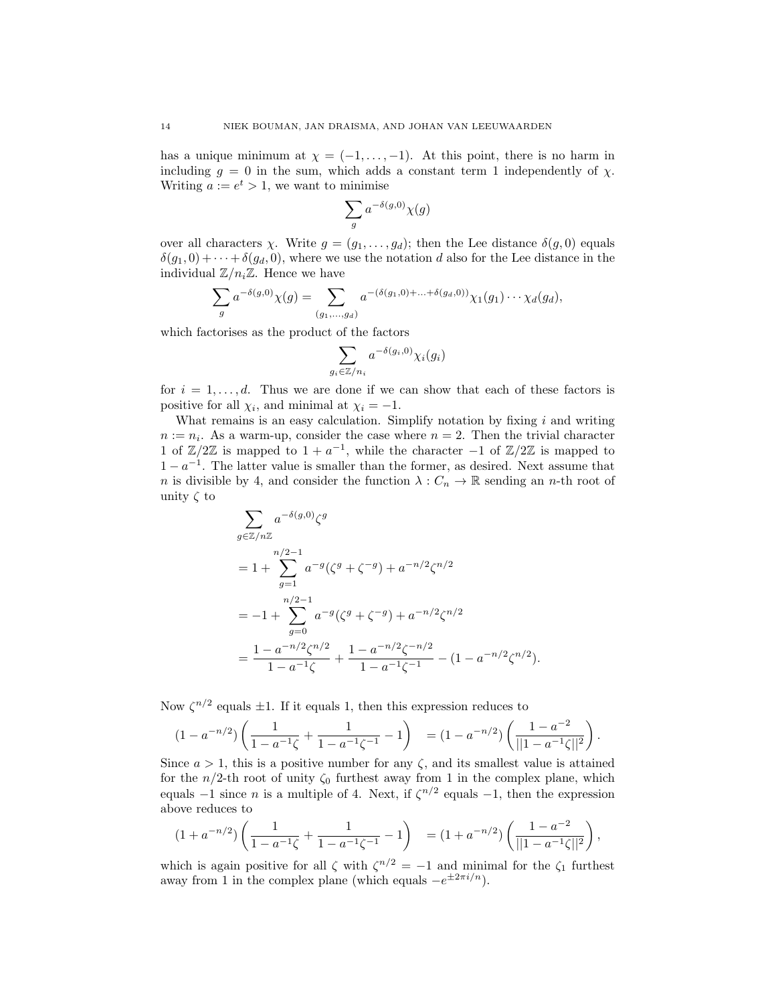has a unique minimum at  $\chi = (-1, \ldots, -1)$ . At this point, there is no harm in including  $g = 0$  in the sum, which adds a constant term 1 independently of  $\chi$ . Writing  $a := e^t > 1$ , we want to minimise

$$
\sum_{g} a^{-\delta(g,0)} \chi(g)
$$

over all characters  $\chi$ . Write  $g = (g_1, \ldots, g_d)$ ; then the Lee distance  $\delta(g, 0)$  equals  $\delta(q_1, 0) + \cdots + \delta(q_d, 0)$ , where we use the notation d also for the Lee distance in the individual  $\mathbb{Z}/n_i\mathbb{Z}$ . Hence we have

$$
\sum_{g} a^{-\delta(g,0)} \chi(g) = \sum_{(g_1,...,g_d)} a^{-(\delta(g_1,0)+...+\delta(g_d,0))} \chi_1(g_1) \cdots \chi_d(g_d),
$$

which factorises as the product of the factors

$$
\sum_{g_i \in \mathbb{Z}/n_i} a^{-\delta(g_i, 0)} \chi_i(g_i)
$$

for  $i = 1, \ldots, d$ . Thus we are done if we can show that each of these factors is positive for all  $\chi_i$ , and minimal at  $\chi_i = -1$ .

What remains is an easy calculation. Simplify notation by fixing  $i$  and writing  $n := n_i$ . As a warm-up, consider the case where  $n = 2$ . Then the trivial character 1 of  $\mathbb{Z}/2\mathbb{Z}$  is mapped to  $1 + a^{-1}$ , while the character  $-1$  of  $\mathbb{Z}/2\mathbb{Z}$  is mapped to  $1 - a^{-1}$ . The latter value is smaller than the former, as desired. Next assume that n is divisible by 4, and consider the function  $\lambda : C_n \to \mathbb{R}$  sending an n-th root of unity  $\zeta$  to

$$
\sum_{g \in \mathbb{Z}/n\mathbb{Z}} a^{-\delta(g,0)} \zeta^g
$$
\n
$$
= 1 + \sum_{g=1}^{n/2-1} a^{-g} (\zeta^g + \zeta^{-g}) + a^{-n/2} \zeta^{n/2}
$$
\n
$$
= -1 + \sum_{g=0}^{n/2-1} a^{-g} (\zeta^g + \zeta^{-g}) + a^{-n/2} \zeta^{n/2}
$$
\n
$$
= \frac{1 - a^{-n/2} \zeta^{n/2}}{1 - a^{-1} \zeta} + \frac{1 - a^{-n/2} \zeta^{-n/2}}{1 - a^{-1} \zeta^{-1}} - (1 - a^{-n/2} \zeta^{n/2}).
$$

Now  $\zeta^{n/2}$  equals  $\pm 1$ . If it equals 1, then this expression reduces to

$$
(1 - a^{-n/2}) \left( \frac{1}{1 - a^{-1} \zeta} + \frac{1}{1 - a^{-1} \zeta^{-1}} - 1 \right) = (1 - a^{-n/2}) \left( \frac{1 - a^{-2}}{||1 - a^{-1} \zeta||^2} \right).
$$

Since  $a > 1$ , this is a positive number for any  $\zeta$ , and its smallest value is attained for the  $n/2$ -th root of unity  $\zeta_0$  furthest away from 1 in the complex plane, which equals  $-1$  since *n* is a multiple of 4. Next, if  $\zeta^{n/2}$  equals  $-1$ , then the expression above reduces to

$$
(1+a^{-n/2})\left(\frac{1}{1-a^{-1}\zeta}+\frac{1}{1-a^{-1}\zeta^{-1}}-1\right) = (1+a^{-n/2})\left(\frac{1-a^{-2}}{||1-a^{-1}\zeta||^2}\right),
$$

which is again positive for all  $\zeta$  with  $\zeta^{n/2} = -1$  and minimal for the  $\zeta_1$  furthest away from 1 in the complex plane (which equals  $-e^{\pm 2\pi i/n}$ ).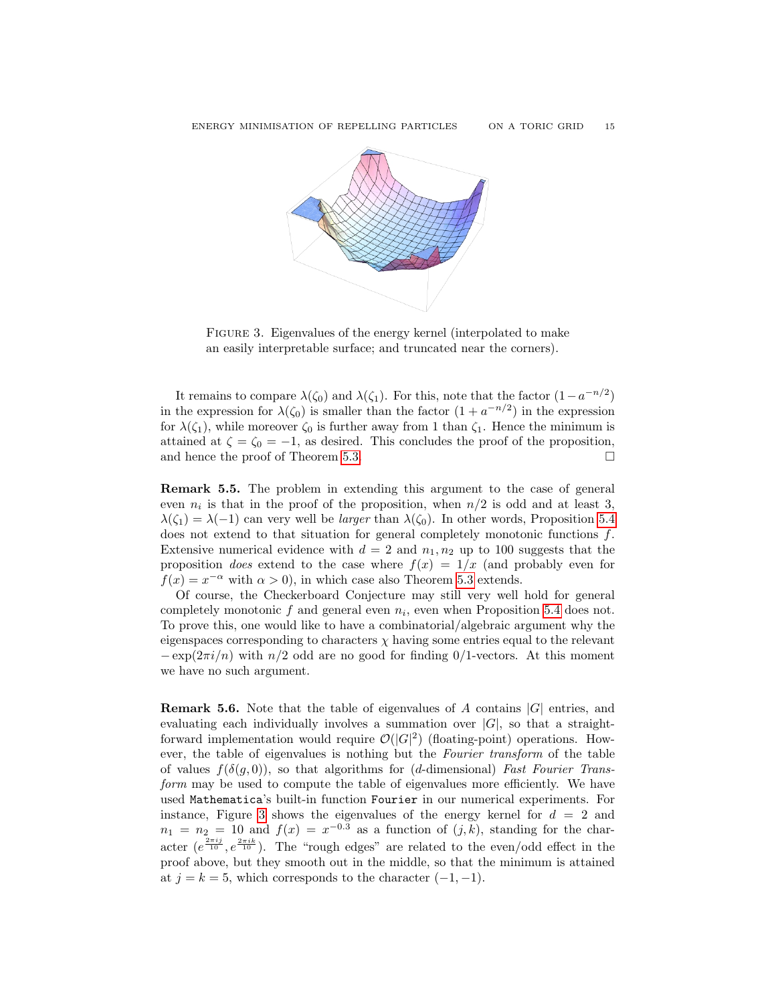

<span id="page-14-0"></span>Figure 3. Eigenvalues of the energy kernel (interpolated to make an easily interpretable surface; and truncated near the corners).

It remains to compare  $\lambda(\zeta_0)$  and  $\lambda(\zeta_1)$ . For this, note that the factor  $(1-a^{-n/2})$ in the expression for  $\lambda(\zeta_0)$  is smaller than the factor  $(1 + a^{-n/2})$  in the expression for  $\lambda(\zeta_1)$ , while moreover  $\zeta_0$  is further away from 1 than  $\zeta_1$ . Hence the minimum is attained at  $\zeta = \zeta_0 = -1$ , as desired. This concludes the proof of the proposition, and hence the proof of Theorem [5.3.](#page-12-0)  $\Box$ 

Remark 5.5. The problem in extending this argument to the case of general even  $n_i$  is that in the proof of the proposition, when  $n/2$  is odd and at least 3,  $\lambda(\zeta_1) = \lambda(-1)$  can very well be *larger* than  $\lambda(\zeta_0)$ . In other words, Proposition [5.4](#page-12-1) does not extend to that situation for general completely monotonic functions f. Extensive numerical evidence with  $d = 2$  and  $n_1, n_2$  up to 100 suggests that the proposition *does* extend to the case where  $f(x) = 1/x$  (and probably even for  $f(x) = x^{-\alpha}$  with  $\alpha > 0$ , in which case also Theorem [5.3](#page-12-0) extends.

Of course, the Checkerboard Conjecture may still very well hold for general completely monotonic  $f$  and general even  $n_i$ , even when Proposition [5.4](#page-12-1) does not. To prove this, one would like to have a combinatorial/algebraic argument why the eigenspaces corresponding to characters  $\chi$  having some entries equal to the relevant  $-\exp(2\pi i/n)$  with  $n/2$  odd are no good for finding 0/1-vectors. At this moment we have no such argument.

<span id="page-14-1"></span>**Remark 5.6.** Note that the table of eigenvalues of A contains  $|G|$  entries, and evaluating each individually involves a summation over  $|G|$ , so that a straightforward implementation would require  $\mathcal{O}(|G|^2)$  (floating-point) operations. However, the table of eigenvalues is nothing but the Fourier transform of the table of values  $f(\delta(q, 0))$ , so that algorithms for (d-dimensional) Fast Fourier Transform may be used to compute the table of eigenvalues more efficiently. We have used Mathematica's built-in function Fourier in our numerical experiments. For instance, Figure [3](#page-14-0) shows the eigenvalues of the energy kernel for  $d = 2$  and  $n_1 = n_2 = 10$  and  $f(x) = x^{-0.3}$  as a function of  $(j, k)$ , standing for the character  $(e^{\frac{2\pi i j}{10}}, e^{\frac{2\pi i k}{10}})$ . The "rough edges" are related to the even/odd effect in the proof above, but they smooth out in the middle, so that the minimum is attained at  $j = k = 5$ , which corresponds to the character  $(-1, -1)$ .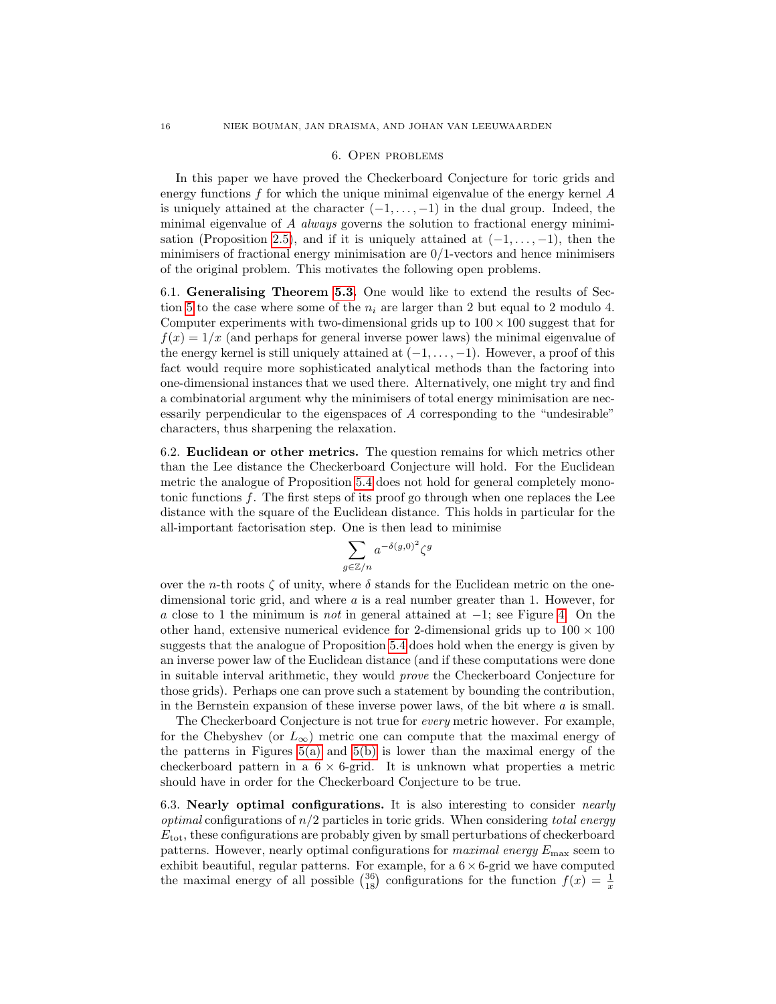#### 6. Open problems

<span id="page-15-0"></span>In this paper we have proved the Checkerboard Conjecture for toric grids and energy functions  $f$  for which the unique minimal eigenvalue of the energy kernel  $A$ is uniquely attained at the character  $(-1, \ldots, -1)$  in the dual group. Indeed, the minimal eigenvalue of  $A$  always governs the solution to fractional energy minimi-sation (Proposition [2.5\)](#page-6-0), and if it is uniquely attained at  $(-1, \ldots, -1)$ , then the minimisers of fractional energy minimisation are  $0/1$ -vectors and hence minimisers of the original problem. This motivates the following open problems.

6.1. Generalising Theorem [5.3.](#page-12-0) One would like to extend the results of Sec-tion [5](#page-11-0) to the case where some of the  $n_i$  are larger than 2 but equal to 2 modulo 4. Computer experiments with two-dimensional grids up to  $100 \times 100$  suggest that for  $f(x) = 1/x$  (and perhaps for general inverse power laws) the minimal eigenvalue of the energy kernel is still uniquely attained at  $(-1, \ldots, -1)$ . However, a proof of this fact would require more sophisticated analytical methods than the factoring into one-dimensional instances that we used there. Alternatively, one might try and find a combinatorial argument why the minimisers of total energy minimisation are necessarily perpendicular to the eigenspaces of A corresponding to the "undesirable" characters, thus sharpening the relaxation.

6.2. Euclidean or other metrics. The question remains for which metrics other than the Lee distance the Checkerboard Conjecture will hold. For the Euclidean metric the analogue of Proposition [5.4](#page-12-1) does not hold for general completely monotonic functions  $f$ . The first steps of its proof go through when one replaces the Lee distance with the square of the Euclidean distance. This holds in particular for the all-important factorisation step. One is then lead to minimise

$$
\sum_{g \in \mathbb{Z}/n} a^{-\delta(g,0)^2} \zeta
$$

g

over the n-th roots  $\zeta$  of unity, where  $\delta$  stands for the Euclidean metric on the onedimensional toric grid, and where a is a real number greater than 1. However, for a close to 1 the minimum is *not* in general attained at  $-1$ ; see Figure [4.](#page-16-0) On the other hand, extensive numerical evidence for 2-dimensional grids up to  $100 \times 100$ suggests that the analogue of Proposition [5.4](#page-12-1) does hold when the energy is given by an inverse power law of the Euclidean distance (and if these computations were done in suitable interval arithmetic, they would prove the Checkerboard Conjecture for those grids). Perhaps one can prove such a statement by bounding the contribution, in the Bernstein expansion of these inverse power laws, of the bit where  $a$  is small.

The Checkerboard Conjecture is not true for every metric however. For example, for the Chebyshev (or  $L_{\infty}$ ) metric one can compute that the maximal energy of the patterns in Figures [5\(a\)](#page-16-1) and [5\(b\)](#page-16-2) is lower than the maximal energy of the checkerboard pattern in a  $6 \times 6$ -grid. It is unknown what properties a metric should have in order for the Checkerboard Conjecture to be true.

6.3. Nearly optimal configurations. It is also interesting to consider *nearly optimal* configurations of  $n/2$  particles in toric grids. When considering total energy  $E_{\text{tot}}$ , these configurations are probably given by small perturbations of checkerboard patterns. However, nearly optimal configurations for *maximal energy*  $E_{\text{max}}$  seem to exhibit beautiful, regular patterns. For example, for a  $6 \times 6$ -grid we have computed the maximal energy of all possible  $\binom{36}{18}$  configurations for the function  $f(x) = \frac{1}{x}$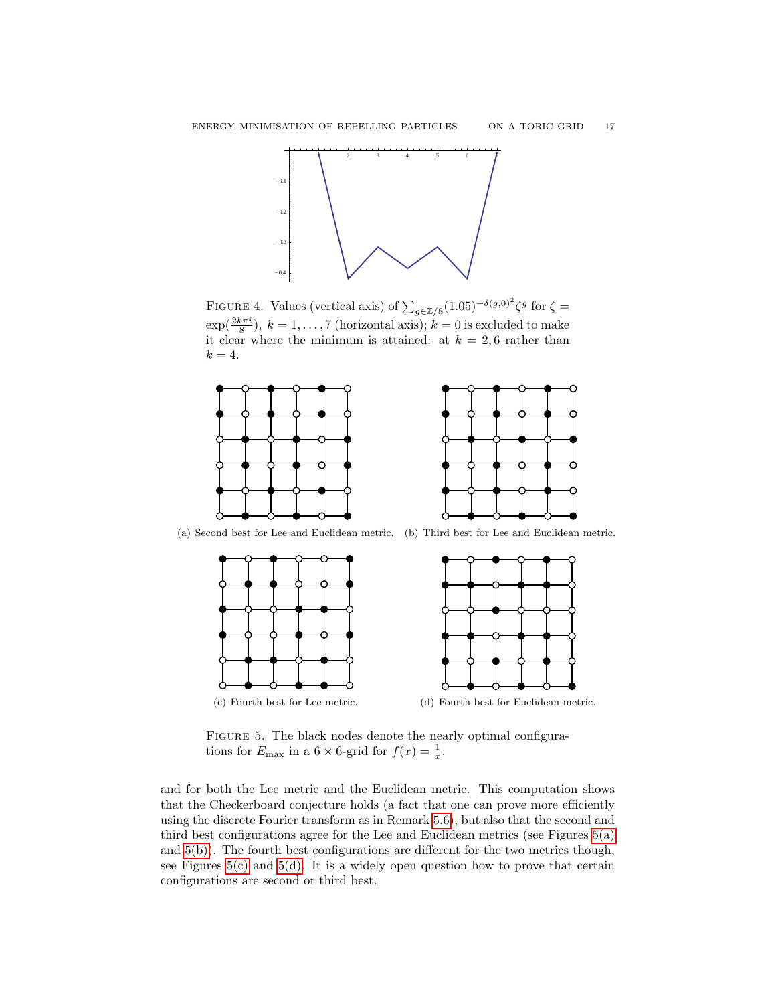

<span id="page-16-0"></span>FIGURE 4. Values (vertical axis) of  $\sum_{g \in \mathbb{Z}/8} (1.05)^{-\delta(g,0)^2} \zeta^g$  for  $\zeta =$  $\exp(\frac{2k\pi i}{8})$ ,  $k = 1, ..., 7$  (horizontal axis);  $k = 0$  is excluded to make it clear where the minimum is attained: at  $k = 2, 6$  rather than  $k = 4$ .



(a) Second best for Lee and Euclidean metric. (b) Third best for Lee and Euclidean metric.

<span id="page-16-2"></span><span id="page-16-1"></span>

<span id="page-16-4"></span><span id="page-16-3"></span>FIGURE 5. The black nodes denote the nearly optimal configurations for  $E_{\text{max}}$  in a  $6 \times 6$ -grid for  $f(x) = \frac{1}{x}$ .

and for both the Lee metric and the Euclidean metric. This computation shows that the Checkerboard conjecture holds (a fact that one can prove more efficiently using the discrete Fourier transform as in Remark [5.6\)](#page-14-1), but also that the second and third best configurations agree for the Lee and Euclidean metrics (see Figures [5\(a\)](#page-16-1) and [5\(b\)\)](#page-16-2). The fourth best configurations are different for the two metrics though, see Figures  $5(c)$  and  $5(d)$ . It is a widely open question how to prove that certain configurations are second or third best.